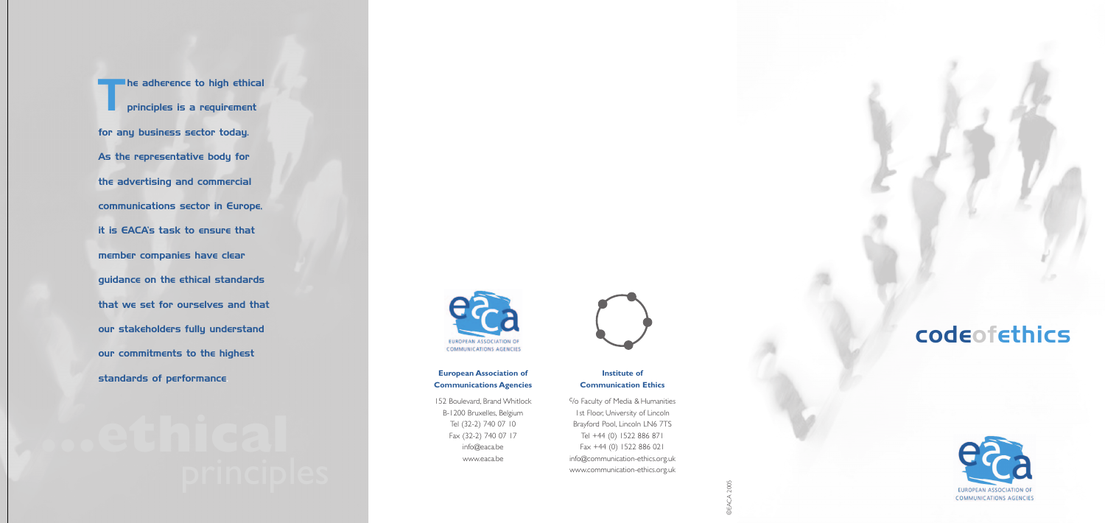The adherence to high ethical<br>principles is a requirement principles is a requirement for any business sector today. As the representative body for the advertising and commercial communications sector in Europe, it is EACA's task to ensure that member companies have clear guidance on the ethical standards that we set for ourselves and that our stakeholders fully understand our commitments to the highest standards of performance.



<sup>C</sup>/o Faculty of Media & Humanities 1st Floor, University of Lincoln Brayford Pool, Lincoln LN6 7TS Tel +44 (0) 1522 886 871 Fax +44 (0) 1522 886 021 info@communication-ethics.org.uk www.communication-ethics.org.uk

### **European Association of Communications Agencies**

152 Boulevard, Brand Whitlock B-1200 Bruxelles, Belgium Tel (32-2) 740 07 10 Fax (32-2) 740 07 17 info@eaca.be www.eaca.be



### **Institute of Communication Ethics**

# codeofethics